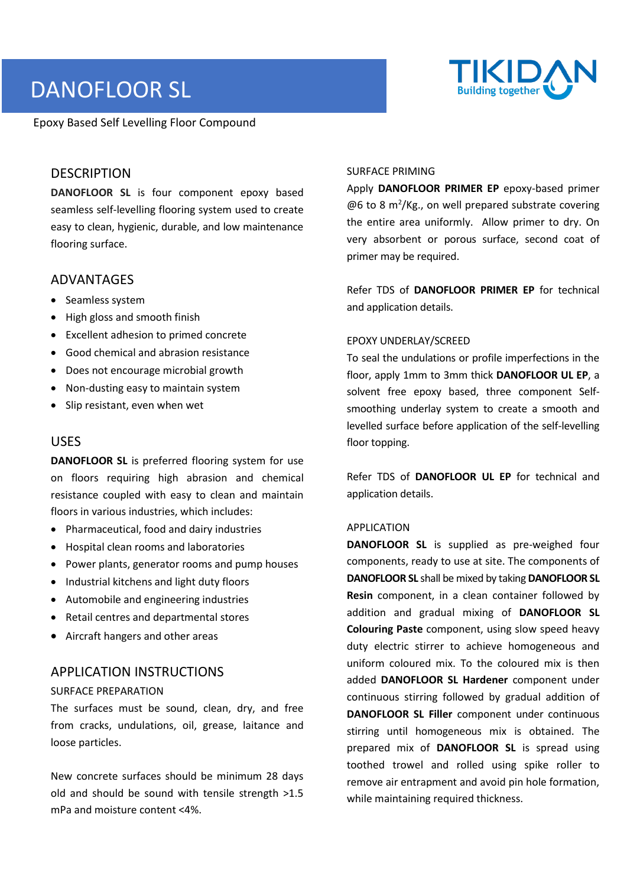# DANOFLOOR SL

Epoxy Based Self Levelling Floor Compound



### **DESCRIPTION**

**DANOFLOOR SL** is four component epoxy based seamless self-levelling flooring system used to create easy to clean, hygienic, durable, and low maintenance flooring surface.

#### ADVANTAGES

- Seamless system
- High gloss and smooth finish
- Excellent adhesion to primed concrete
- Good chemical and abrasion resistance
- Does not encourage microbial growth
- Non-dusting easy to maintain system
- Slip resistant, even when wet

#### USES

**DANOFLOOR SL** is preferred flooring system for use on floors requiring high abrasion and chemical resistance coupled with easy to clean and maintain floors in various industries, which includes:

- Pharmaceutical, food and dairy industries
- Hospital clean rooms and laboratories
- Power plants, generator rooms and pump houses
- Industrial kitchens and light duty floors
- Automobile and engineering industries
- Retail centres and departmental stores
- Aircraft hangers and other areas

## APPLICATION INSTRUCTIONS

#### SURFACE PREPARATION

The surfaces must be sound, clean, dry, and free from cracks, undulations, oil, grease, laitance and loose particles.

New concrete surfaces should be minimum 28 days old and should be sound with tensile strength >1.5 mPa and moisture content <4%.

#### SURFACE PRIMING

Apply **DANOFLOOR PRIMER EP** epoxy-based primer  $@6$  to 8 m<sup>2</sup>/Kg., on well prepared substrate covering the entire area uniformly. Allow primer to dry. On very absorbent or porous surface, second coat of primer may be required.

Refer TDS of **DANOFLOOR PRIMER EP** for technical and application details.

#### EPOXY UNDERLAY/SCREED

To seal the undulations or profile imperfections in the floor, apply 1mm to 3mm thick **DANOFLOOR UL EP**, a solvent free epoxy based, three component Selfsmoothing underlay system to create a smooth and levelled surface before application of the self-levelling floor topping.

Refer TDS of **DANOFLOOR UL EP** for technical and application details.

#### APPLICATION

**DANOFLOOR SL** is supplied as pre-weighed four components, ready to use at site. The components of **DANOFLOOR SL** shall be mixed by taking **DANOFLOOR SL Resin** component, in a clean container followed by addition and gradual mixing of **DANOFLOOR SL Colouring Paste** component, using slow speed heavy duty electric stirrer to achieve homogeneous and uniform coloured mix. To the coloured mix is then added **DANOFLOOR SL Hardener** component under continuous stirring followed by gradual addition of **DANOFLOOR SL Filler** component under continuous stirring until homogeneous mix is obtained. The prepared mix of **DANOFLOOR SL** is spread using toothed trowel and rolled using spike roller to remove air entrapment and avoid pin hole formation, while maintaining required thickness.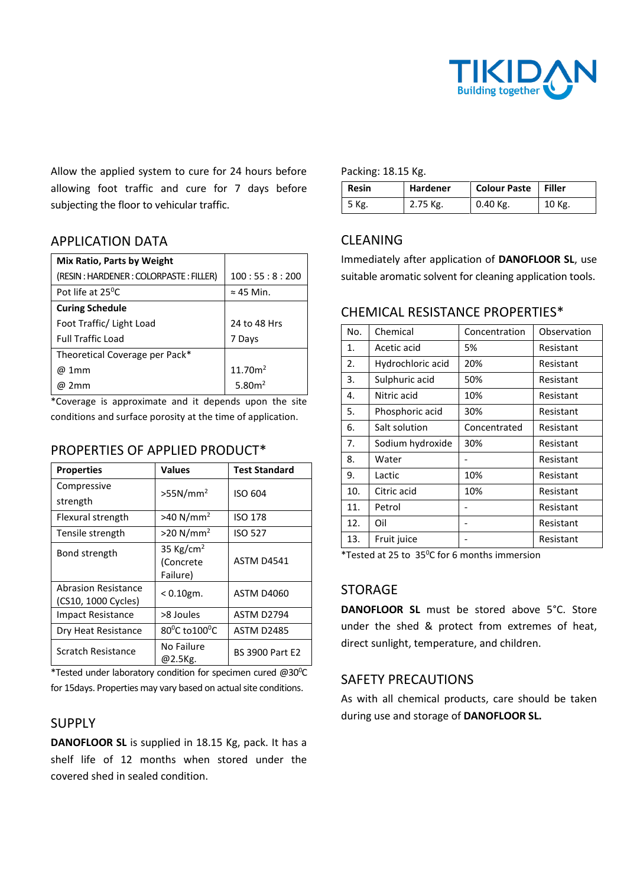

Allow the applied system to cure for 24 hours before allowing foot traffic and cure for 7 days before subjecting the floor to vehicular traffic.

## APPLICATION DATA

| Mix Ratio, Parts by Weight            |                     |
|---------------------------------------|---------------------|
| (RESIN: HARDENER: COLORPASTE: FILLER) | 100:55:8:200        |
| Pot life at 25 <sup>o</sup> C         | $\approx$ 45 Min.   |
| <b>Curing Schedule</b>                |                     |
| Foot Traffic/ Light Load              | 24 to 48 Hrs        |
| <b>Full Traffic Load</b>              | 7 Days              |
| Theoretical Coverage per Pack*        |                     |
| @ 1mm                                 | 11.70m <sup>2</sup> |
| 2 <sub>mm</sub><br>ω                  | 5.80 $m2$           |

\*Coverage is approximate and it depends upon the site conditions and surface porosity at the time of application.

## PROPERTIES OF APPLIED PRODUCT\*

| <b>Properties</b>                                 | <b>Values</b>                                  | <b>Test Standard</b>   |
|---------------------------------------------------|------------------------------------------------|------------------------|
| Compressive                                       | $>55N/mm^2$                                    | ISO 604                |
| strength                                          |                                                |                        |
| Flexural strength                                 | $>40 N/mm^2$                                   | <b>ISO 178</b>         |
| Tensile strength                                  | $>20 N/mm^2$                                   | <b>ISO 527</b>         |
| Bond strength                                     | 35 Kg/cm <sup>2</sup><br>(Concrete<br>Failure) | <b>ASTM D4541</b>      |
| <b>Abrasion Resistance</b><br>(CS10, 1000 Cycles) | $< 0.10$ gm.                                   | <b>ASTM D4060</b>      |
| <b>Impact Resistance</b>                          | >8 Joules                                      | <b>ASTM D2794</b>      |
| Dry Heat Resistance                               | $80^{\circ}$ C to $100^{\circ}$ C              | <b>ASTM D2485</b>      |
| Scratch Resistance                                | No Failure<br>@2.5Kg.                          | <b>BS 3900 Part E2</b> |

\*Tested under laboratory condition for specimen cured @30°C for 15days. Properties may vary based on actual site conditions.

## SUPPLY

**DANOFLOOR SL** is supplied in 18.15 Kg, pack. It has a shelf life of 12 months when stored under the covered shed in sealed condition.

#### Packing: 18.15 Kg.

| <b>Resin</b> | <b>Hardener</b> | Colour Paste   Filler |        |
|--------------|-----------------|-----------------------|--------|
| 5 Kg.        | 2.75 Kg.        | $0.40$ Kg.            | 10 Kg. |

## CLEANING

Immediately after application of **DANOFLOOR SL**, use suitable aromatic solvent for cleaning application tools.

## CHEMICAL RESISTANCE PROPERTIES\*

| No. | Chemical          | Concentration | Observation |
|-----|-------------------|---------------|-------------|
| 1.  | Acetic acid       | 5%            | Resistant   |
| 2.  | Hydrochloric acid | 20%           | Resistant   |
| 3.  | Sulphuric acid    | 50%           | Resistant   |
| 4.  | Nitric acid       | 10%           | Resistant   |
| 5.  | Phosphoric acid   | 30%           | Resistant   |
| 6.  | Salt solution     | Concentrated  | Resistant   |
| 7.  | Sodium hydroxide  | 30%           | Resistant   |
| 8.  | Water             |               | Resistant   |
| 9.  | Lactic            | 10%           | Resistant   |
| 10. | Citric acid       | 10%           | Resistant   |
| 11. | Petrol            |               | Resistant   |
| 12. | Oil               |               | Resistant   |
| 13. | Fruit juice       |               | Resistant   |

\*Tested at 25 to 35<sup>o</sup>C for 6 months immersion

## STORAGE

**DANOFLOOR SL** must be stored above 5°C. Store under the shed & protect from extremes of heat, direct sunlight, temperature, and children.

## SAFETY PRECAUTIONS

As with all chemical products, care should be taken during use and storage of **DANOFLOOR SL.**